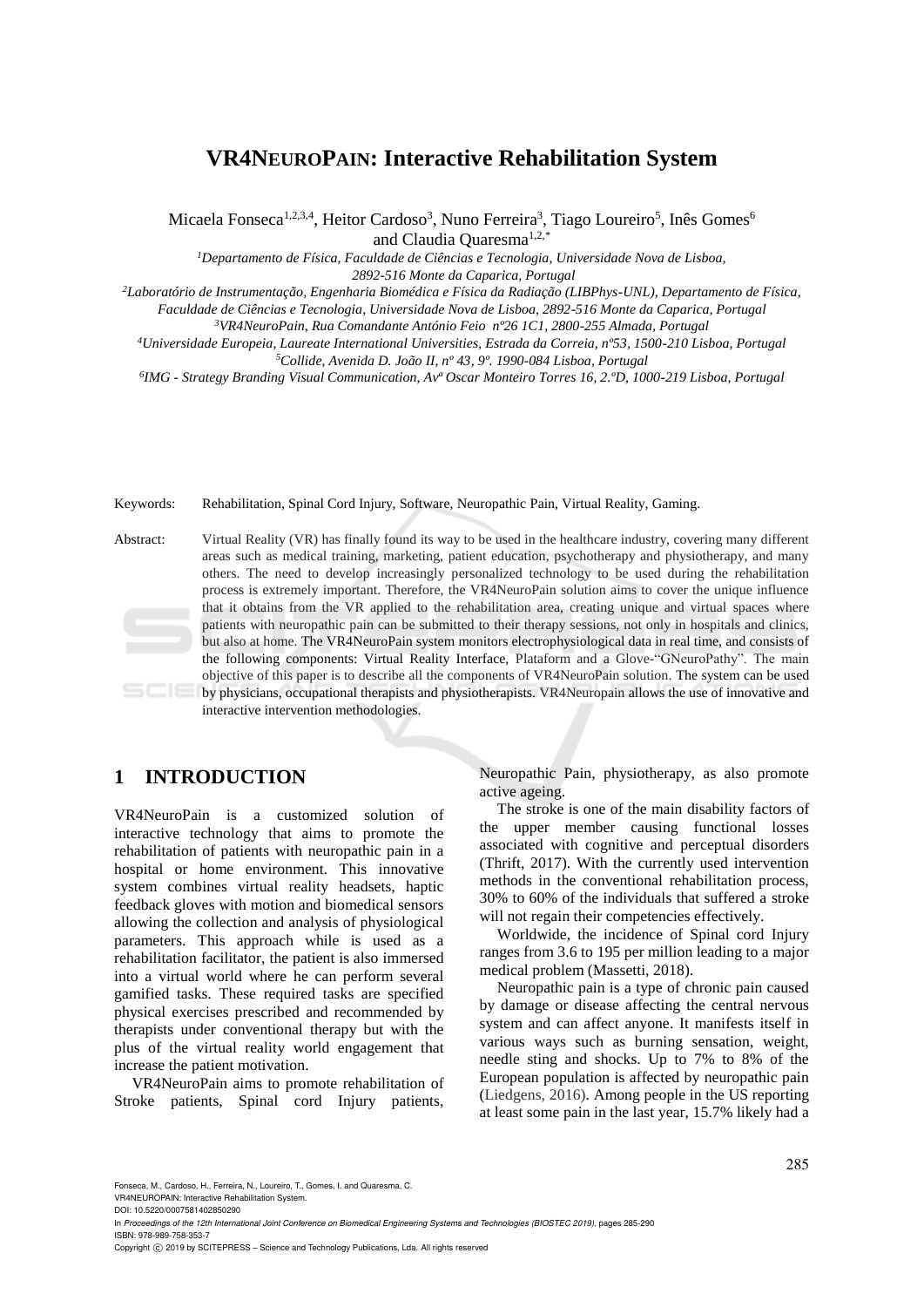# **VR4NEUROPAIN: Interactive Rehabilitation System**

Micaela Fonseca<sup>1,2,3,4</sup>, Heitor Cardoso<sup>3</sup>, Nuno Ferreira<sup>3</sup>, Tiago Loureiro<sup>5</sup>, Inês Gomes<sup>6</sup> and Claudia Quaresma1,2,\*

*<sup>1</sup>Departamento de Física, Faculdade de Ciências e Tecnologia, Universidade Nova de Lisboa, 2892-516 Monte da Caparica, Portugal*

*<sup>2</sup>Laboratório de Instrumentação, Engenharia Biomédica e Física da Radiação (LIBPhys-UNL), Departamento de Física,* 

*Faculdade de Ciências e Tecnologia, Universidade Nova de Lisboa, 2892-516 Monte da Caparica, Portugal*

*<sup>3</sup>VR4NeuroPain, Rua Comandante António Feio nº26 1C1, 2800-255 Almada, Portugal*

*<sup>4</sup>Universidade Europeia, Laureate International Universities, Estrada da Correia, nº53, 1500-210 Lisboa, Portugal <sup>5</sup>Collide, Avenida D. João II, nº 43, 9º. 1990-084 Lisboa, Portugal*

*6 IMG - Strategy Branding Visual Communication, Avª Oscar Monteiro Torres 16, 2.ºD, 1000-219 Lisboa, Portugal*

Keywords: Rehabilitation, Spinal Cord Injury, Software, Neuropathic Pain, Virtual Reality, Gaming.

Abstract: Virtual Reality (VR) has finally found its way to be used in the healthcare industry, covering many different areas such as medical training, marketing, patient education, psychotherapy and physiotherapy, and many others. The need to develop increasingly personalized technology to be used during the rehabilitation process is extremely important. Therefore, the VR4NeuroPain solution aims to cover the unique influence that it obtains from the VR applied to the rehabilitation area, creating unique and virtual spaces where patients with neuropathic pain can be submitted to their therapy sessions, not only in hospitals and clinics, but also at home. The VR4NeuroPain system monitors electrophysiological data in real time, and consists of the following components: Virtual Reality Interface, Plataform and a Glove-"GNeuroPathy". The main objective of this paper is to describe all the components of VR4NeuroPain solution. The system can be used by physicians, occupational therapists and physiotherapists. VR4Neuropain allows the use of innovative and

interactive intervention methodologies.

# **1 INTRODUCTION**

VR4NeuroPain is a customized solution of interactive technology that aims to promote the rehabilitation of patients with neuropathic pain in a hospital or home environment. This innovative system combines virtual reality headsets, haptic feedback gloves with motion and biomedical sensors allowing the collection and analysis of physiological parameters. This approach while is used as a rehabilitation facilitator, the patient is also immersed into a virtual world where he can perform several gamified tasks. These required tasks are specified physical exercises prescribed and recommended by therapists under conventional therapy but with the plus of the virtual reality world engagement that increase the patient motivation.

VR4NeuroPain aims to promote rehabilitation of Stroke patients, Spinal cord Injury patients,

Neuropathic Pain, physiotherapy, as also promote active ageing.

The stroke is one of the main disability factors of the upper member causing functional losses associated with cognitive and perceptual disorders (Thrift, 2017). With the currently used intervention methods in the conventional rehabilitation process, 30% to 60% of the individuals that suffered a stroke will not regain their competencies effectively.

Worldwide, the incidence of Spinal cord Injury ranges from 3.6 to 195 per million leading to a major medical problem (Massetti, 2018).

Neuropathic pain is a type of chronic pain caused by damage or disease affecting the central nervous system and can affect anyone. It manifests itself in various ways such as burning sensation, weight, needle sting and shocks. Up to 7% to 8% of the European population is affected by neuropathic pain (Liedgens, 2016). Among people in the US reporting at least some pain in the last year, 15.7% likely had a

Fonseca, M., Cardoso, H., Ferreira, N., Loureiro, T., Gomes, I. and Quaresma, C. VR4NEUROPAIN: Interactive Rehabilitation System.

DOI: 10.5220/0007581402850290

In *Proceedings of the 12th International Joint Conference on Biomedical Engineering Systems and Technologies (BIOSTEC 2019)*, pages 285-290 ISBN: 978-989-758-353-7

Copyright © 2019 by SCITEPRESS - Science and Technology Publications, Lda. All rights reserved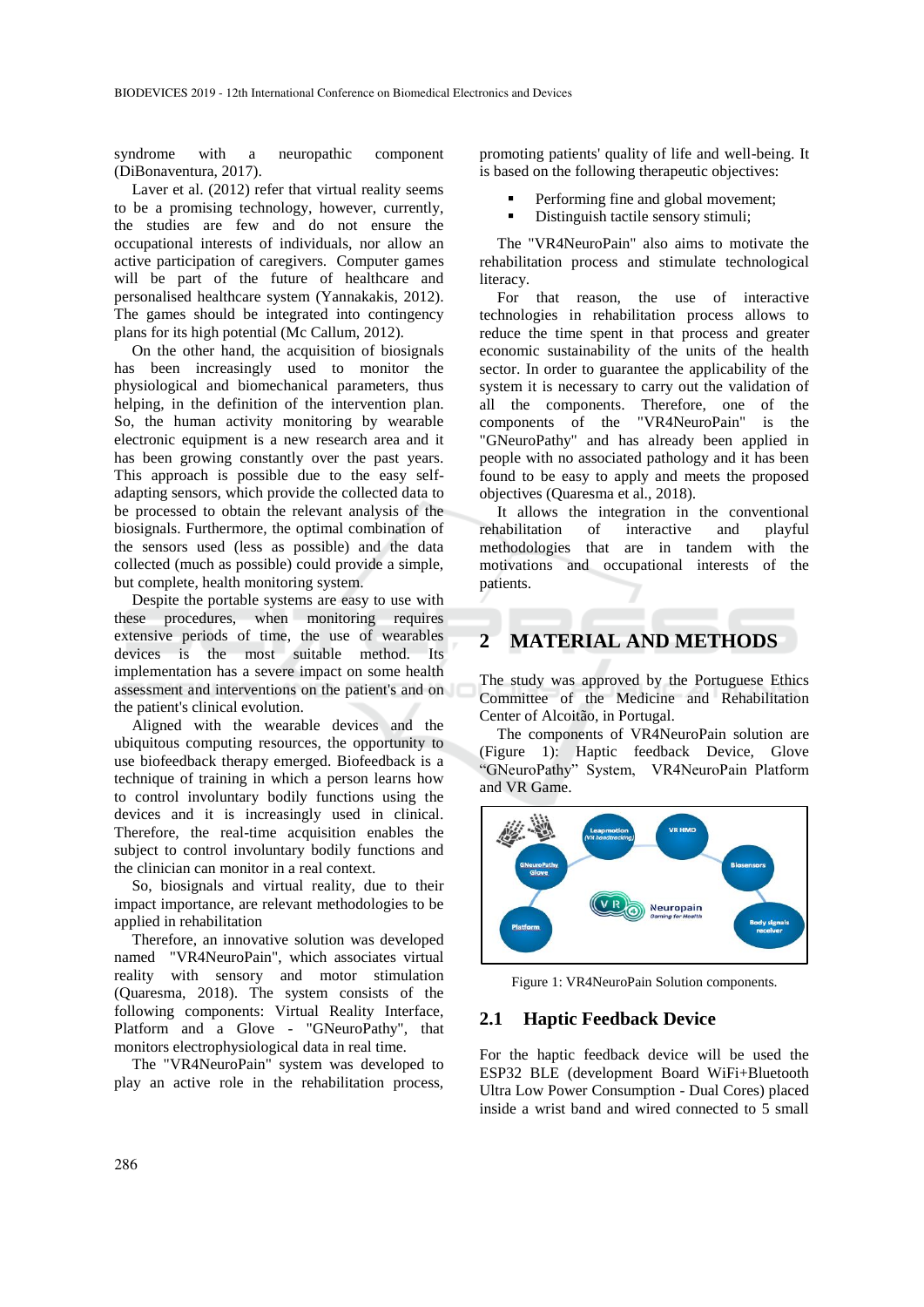syndrome with a neuropathic component (DiBonaventura, 2017).

Laver et al. (2012) refer that virtual reality seems to be a promising technology, however, currently, the studies are few and do not ensure the occupational interests of individuals, nor allow an active participation of caregivers. Computer games will be part of the future of healthcare and personalised healthcare system (Yannakakis, 2012). The games should be integrated into contingency plans for its high potential (Mc Callum, 2012).

On the other hand, the acquisition of biosignals has been increasingly used to monitor the physiological and biomechanical parameters, thus helping, in the definition of the intervention plan. So, the human activity monitoring by wearable electronic equipment is a new research area and it has been growing constantly over the past years. This approach is possible due to the easy selfadapting sensors, which provide the collected data to be processed to obtain the relevant analysis of the biosignals. Furthermore, the optimal combination of the sensors used (less as possible) and the data collected (much as possible) could provide a simple, but complete, health monitoring system.

Despite the portable systems are easy to use with these procedures, when monitoring requires extensive periods of time, the use of wearables devices is the most suitable method. Its implementation has a severe impact on some health assessment and interventions on the patient's and on the patient's clinical evolution.

Aligned with the wearable devices and the ubiquitous computing resources, the opportunity to use biofeedback therapy emerged. Biofeedback is a technique of training in which a person learns how to control involuntary bodily functions using the devices and it is increasingly used in clinical. Therefore, the real-time acquisition enables the subject to control involuntary bodily functions and the clinician can monitor in a real context.

So, biosignals and virtual reality, due to their impact importance, are relevant methodologies to be applied in rehabilitation

Therefore, an innovative solution was developed named "VR4NeuroPain", which associates virtual reality with sensory and motor stimulation (Quaresma, 2018). The system consists of the following components: Virtual Reality Interface, Platform and a Glove - "GNeuroPathy", that monitors electrophysiological data in real time.

The "VR4NeuroPain" system was developed to play an active role in the rehabilitation process, promoting patients' quality of life and well-being. It is based on the following therapeutic objectives:

- Performing fine and global movement;
- Distinguish tactile sensory stimuli;

The "VR4NeuroPain" also aims to motivate the rehabilitation process and stimulate technological literacy.

For that reason, the use of interactive technologies in rehabilitation process allows to reduce the time spent in that process and greater economic sustainability of the units of the health sector. In order to guarantee the applicability of the system it is necessary to carry out the validation of all the components. Therefore, one of the components of the "VR4NeuroPain" is the "GNeuroPathy" and has already been applied in people with no associated pathology and it has been found to be easy to apply and meets the proposed objectives (Quaresma et al., 2018).

It allows the integration in the conventional rehabilitation of interactive and playful methodologies that are in tandem with the motivations and occupational interests of the patients.

## **2 MATERIAL AND METHODS**

The study was approved by the Portuguese Ethics Committee of the Medicine and Rehabilitation Center of Alcoitão, in Portugal.

The components of VR4NeuroPain solution are (Figure 1): Haptic feedback Device, Glove "GNeuroPathy" System, VR4NeuroPain Platform and VR Game.



Figure 1: VR4NeuroPain Solution components.

### **2.1 Haptic Feedback Device**

For the haptic feedback device will be used the ESP32 BLE (development Board WiFi+Bluetooth Ultra Low Power Consumption - Dual Cores) placed inside a wrist band and wired connected to 5 small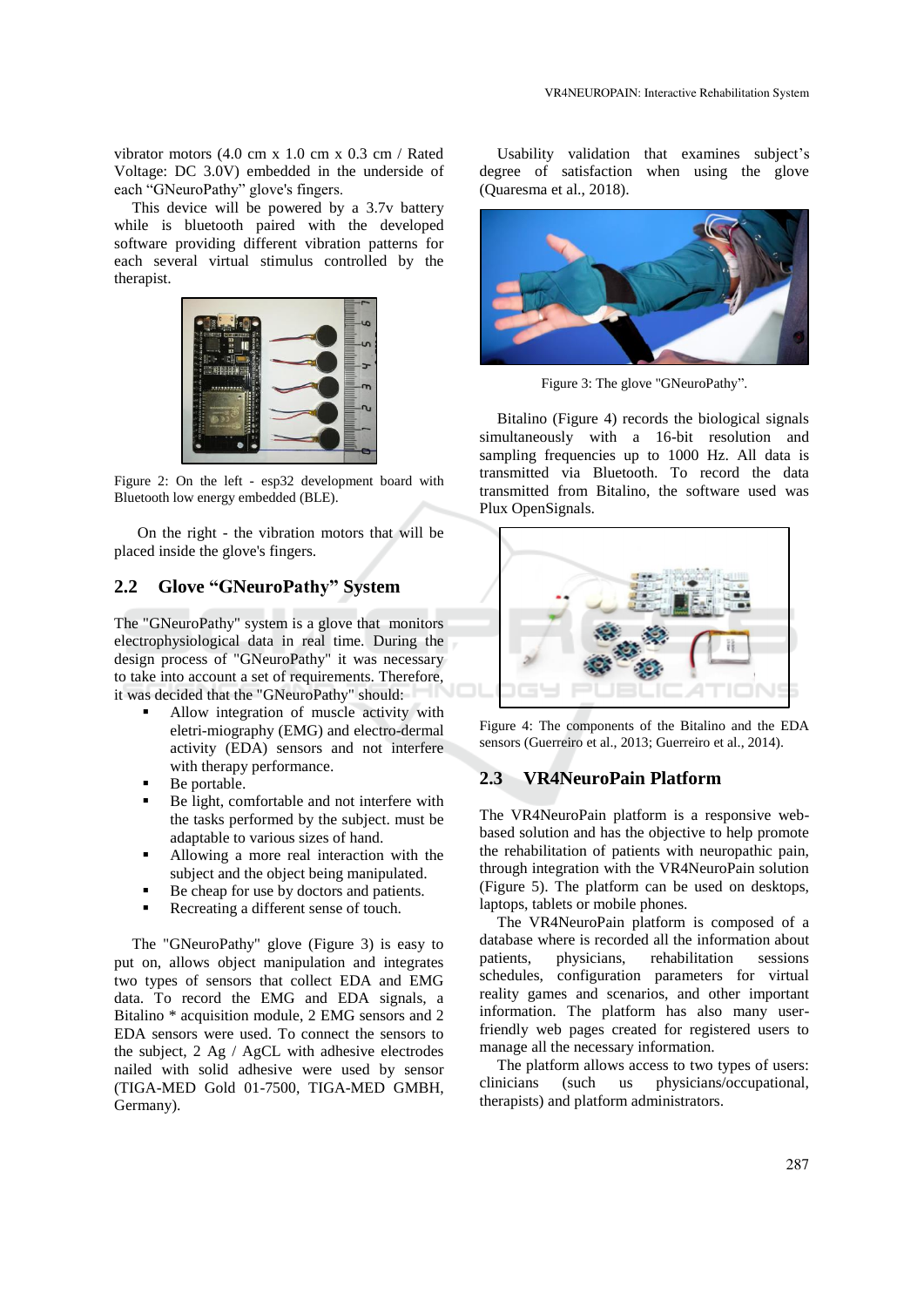vibrator motors (4.0 cm x 1.0 cm x 0.3 cm / Rated Voltage: DC 3.0V) embedded in the underside of each "GNeuroPathy" glove's fingers.

This device will be powered by a 3.7v battery while is bluetooth paired with the developed software providing different vibration patterns for each several virtual stimulus controlled by the therapist.



Figure 2: On the left - esp32 development board with Bluetooth low energy embedded (BLE).

On the right - the vibration motors that will be placed inside the glove's fingers.

# **2.2 Glove "GNeuroPathy" System**

The "GNeuroPathy" system is a glove that monitors electrophysiological data in real time. During the design process of "GNeuroPathy" it was necessary to take into account a set of requirements. Therefore, it was decided that the "GNeuroPathy" should:

- Allow integration of muscle activity with eletri-miography (EMG) and electro-dermal activity (EDA) sensors and not interfere with therapy performance.
- Be portable.
- Be light, comfortable and not interfere with the tasks performed by the subject. must be adaptable to various sizes of hand.
- Allowing a more real interaction with the subject and the object being manipulated.
- Be cheap for use by doctors and patients.
- Recreating a different sense of touch.

The "GNeuroPathy" glove (Figure 3) is easy to put on, allows object manipulation and integrates two types of sensors that collect EDA and EMG data. To record the EMG and EDA signals, a Bitalino \* acquisition module, 2 EMG sensors and 2 EDA sensors were used. To connect the sensors to the subject, 2 Ag / AgCL with adhesive electrodes nailed with solid adhesive were used by sensor (TIGA-MED Gold 01-7500, TIGA-MED GMBH, Germany).

Usability validation that examines subject's degree of satisfaction when using the glove (Quaresma et al., 2018).



Figure 3: The glove "GNeuroPathy".

Bitalino (Figure 4) records the biological signals simultaneously with a 16-bit resolution and sampling frequencies up to 1000 Hz. All data is transmitted via Bluetooth. To record the data transmitted from Bitalino, the software used was Plux OpenSignals.



Figure 4: The components of the Bitalino and the EDA sensors (Guerreiro et al., 2013; Guerreiro et al., 2014).

#### **2.3 VR4NeuroPain Platform**

The VR4NeuroPain platform is a responsive webbased solution and has the objective to help promote the rehabilitation of patients with neuropathic pain, through integration with the VR4NeuroPain solution (Figure 5). The platform can be used on desktops, laptops, tablets or mobile phones.

The VR4NeuroPain platform is composed of a database where is recorded all the information about patients, physicians, rehabilitation sessions schedules, configuration parameters for virtual reality games and scenarios, and other important information. The platform has also many userfriendly web pages created for registered users to manage all the necessary information.

The platform allows access to two types of users: clinicians (such us physicians/occupational, therapists) and platform administrators.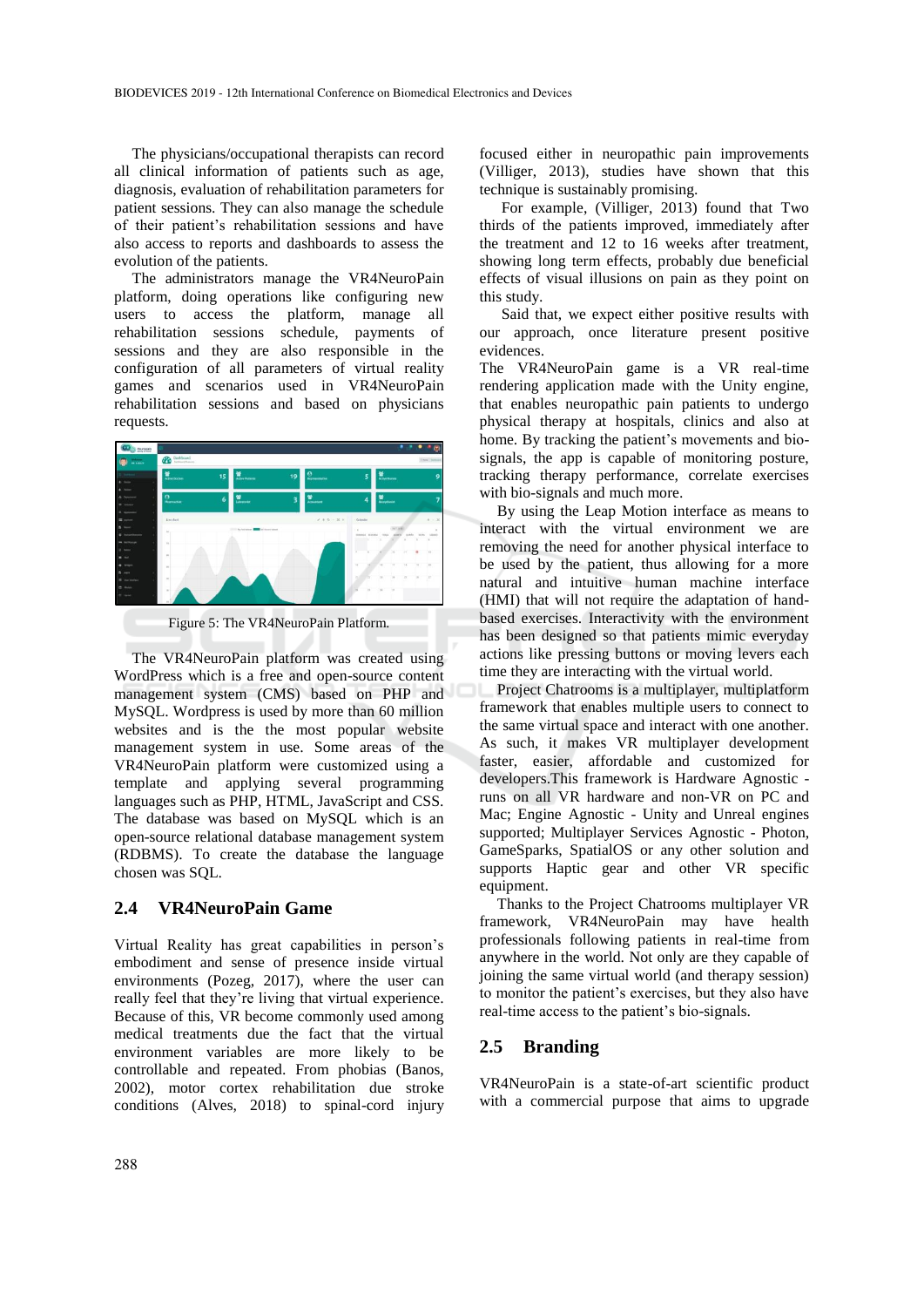The physicians/occupational therapists can record all clinical information of patients such as age, diagnosis, evaluation of rehabilitation parameters for patient sessions. They can also manage the schedule of their patient's rehabilitation sessions and have also access to reports and dashboards to assess the evolution of the patients.

The administrators manage the VR4NeuroPain platform, doing operations like configuring new users to access the platform, manage all rehabilitation sessions schedule, payments of sessions and they are also responsible in the configuration of all parameters of virtual reality games and scenarios used in VR4NeuroPain rehabilitation sessions and based on physicians requests.



Figure 5: The VR4NeuroPain Platform.

The VR4NeuroPain platform was created using WordPress which is a free and open-source content management system (CMS) based on PHP and MySQL. Wordpress is used by more than 60 million websites and is the the most popular website management system in use. Some areas of the VR4NeuroPain platform were customized using a template and applying several programming languages such as PHP, HTML, JavaScript and CSS. The database was based on MySQL which is an open-source relational database management system (RDBMS). To create the database the language chosen was SQL.

### **2.4 VR4NeuroPain Game**

Virtual Reality has great capabilities in person's embodiment and sense of presence inside virtual environments (Pozeg, 2017), where the user can really feel that they're living that virtual experience. Because of this, VR become commonly used among medical treatments due the fact that the virtual environment variables are more likely to be controllable and repeated. From phobias (Banos, 2002), motor cortex rehabilitation due stroke conditions (Alves, 2018) to spinal-cord injury

focused either in neuropathic pain improvements (Villiger, 2013), studies have shown that this technique is sustainably promising.

For example, (Villiger, 2013) found that Two thirds of the patients improved, immediately after the treatment and 12 to 16 weeks after treatment, showing long term effects, probably due beneficial effects of visual illusions on pain as they point on this study.

Said that, we expect either positive results with our approach, once literature present positive evidences.

The VR4NeuroPain game is a VR real-time rendering application made with the Unity engine, that enables neuropathic pain patients to undergo physical therapy at hospitals, clinics and also at home. By tracking the patient's movements and biosignals, the app is capable of monitoring posture, tracking therapy performance, correlate exercises with bio-signals and much more.

By using the Leap Motion interface as means to interact with the virtual environment we are removing the need for another physical interface to be used by the patient, thus allowing for a more natural and intuitive human machine interface (HMI) that will not require the adaptation of handbased exercises. Interactivity with the environment has been designed so that patients mimic everyday actions like pressing buttons or moving levers each time they are interacting with the virtual world.

Project Chatrooms is a multiplayer, multiplatform framework that enables multiple users to connect to the same virtual space and interact with one another. As such, it makes VR multiplayer development faster, easier, affordable and customized for developers.This framework is Hardware Agnostic runs on all VR hardware and non-VR on PC and Mac; Engine Agnostic - Unity and Unreal engines supported; Multiplayer Services Agnostic - Photon, GameSparks, SpatialOS or any other solution and supports Haptic gear and other VR specific equipment.

Thanks to the Project Chatrooms multiplayer VR framework, VR4NeuroPain may have health professionals following patients in real-time from anywhere in the world. Not only are they capable of joining the same virtual world (and therapy session) to monitor the patient's exercises, but they also have real-time access to the patient's bio-signals.

#### **2.5 Branding**

VR4NeuroPain is a state-of-art scientific product with a commercial purpose that aims to upgrade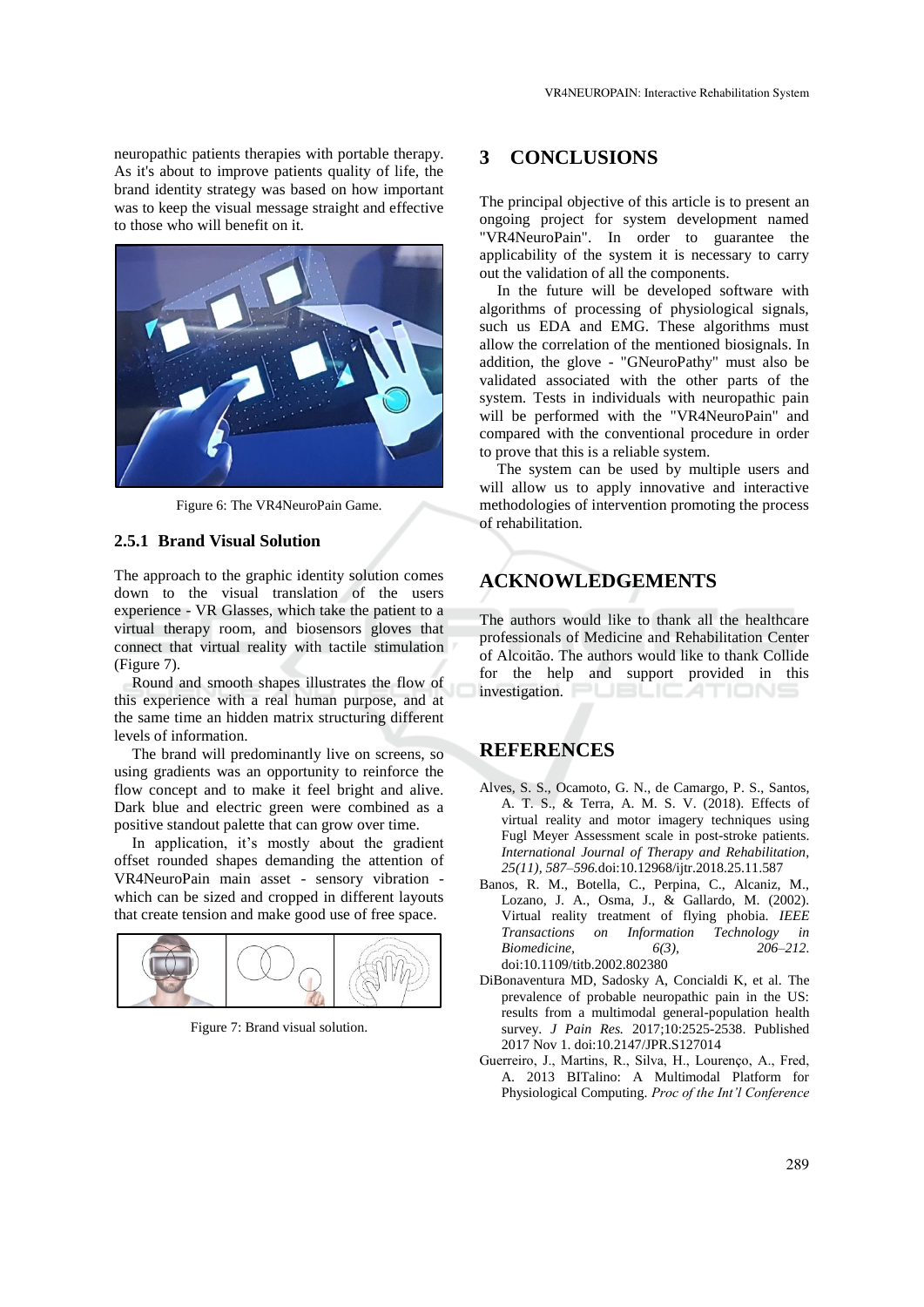neuropathic patients therapies with portable therapy. As it's about to improve patients quality of life, the brand identity strategy was based on how important was to keep the visual message straight and effective to those who will benefit on it.



Figure 6: The VR4NeuroPain Game.

#### **2.5.1 Brand Visual Solution**

The approach to the graphic identity solution comes down to the visual translation of the users experience - VR Glasses, which take the patient to a virtual therapy room, and biosensors gloves that connect that virtual reality with tactile stimulation (Figure 7).

Round and smooth shapes illustrates the flow of this experience with a real human purpose, and at the same time an hidden matrix structuring different levels of information.

The brand will predominantly live on screens, so using gradients was an opportunity to reinforce the flow concept and to make it feel bright and alive. Dark blue and electric green were combined as a positive standout palette that can grow over time.

In application, it's mostly about the gradient offset rounded shapes demanding the attention of VR4NeuroPain main asset - sensory vibration which can be sized and cropped in different layouts that create tension and make good use of free space.



Figure 7: Brand visual solution.

### **3 CONCLUSIONS**

The principal objective of this article is to present an ongoing project for system development named "VR4NeuroPain". In order to guarantee the applicability of the system it is necessary to carry out the validation of all the components.

In the future will be developed software with algorithms of processing of physiological signals, such us EDA and EMG. These algorithms must allow the correlation of the mentioned biosignals. In addition, the glove - "GNeuroPathy" must also be validated associated with the other parts of the system. Tests in individuals with neuropathic pain will be performed with the "VR4NeuroPain" and compared with the conventional procedure in order to prove that this is a reliable system.

The system can be used by multiple users and will allow us to apply innovative and interactive methodologies of intervention promoting the process of rehabilitation.

# **ACKNOWLEDGEMENTS**

The authors would like to thank all the healthcare professionals of Medicine and Rehabilitation Center of Alcoitão. The authors would like to thank Collide for the help and support provided in this investigation. PUBLICATIONS

## **REFERENCES**

- Alves, S. S., Ocamoto, G. N., de Camargo, P. S., Santos, A. T. S., & Terra, A. M. S. V. (2018). Effects of virtual reality and motor imagery techniques using Fugl Meyer Assessment scale in post-stroke patients. *International Journal of Therapy and Rehabilitation, 25(11), 587–596.*doi:10.12968/ijtr.2018.25.11.587
- Banos, R. M., Botella, C., Perpina, C., Alcaniz, M., Lozano, J. A., Osma, J., & Gallardo, M. (2002). Virtual reality treatment of flying phobia. *IEEE Transactions on Information Technology in Biomedicine,* 6(3), doi:10.1109/titb.2002.802380
- DiBonaventura MD, Sadosky A, Concialdi K, et al. The prevalence of probable neuropathic pain in the US: results from a multimodal general-population health survey. *J Pain Res.* 2017;10:2525-2538. Published 2017 Nov 1. doi:10.2147/JPR.S127014
- Guerreiro, J., Martins, R., Silva, H., Lourenço, A., Fred, A. 2013 BITalino: A Multimodal Platform for Physiological Computing. *Proc of the Int'l Conference*